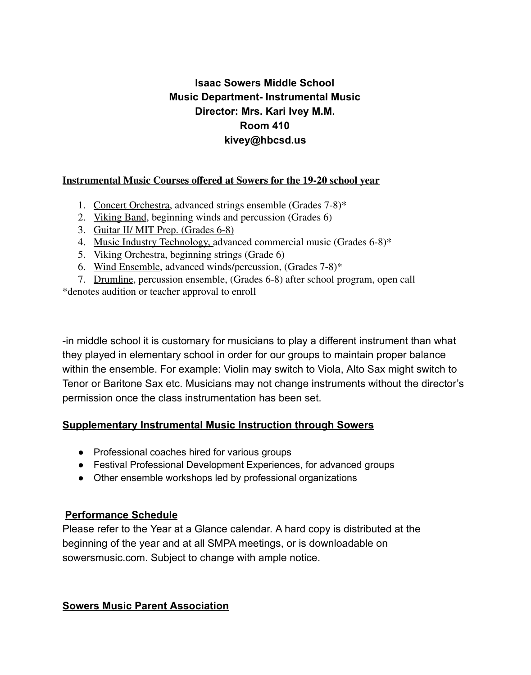# **Isaac Sowers Middle School Music Department- Instrumental Music Director: Mrs. Kari Ivey M.M. Room 410 kivey@hbcsd.us**

#### **Instrumental Music Courses offered at Sowers for the 19-20 school year**

- 1. Concert Orchestra, advanced strings ensemble (Grades 7-8)\*
- 2. Viking Band, beginning winds and percussion (Grades 6)
- 3. Guitar II/ MIT Prep. (Grades 6-8)
- 4. Music Industry Technology, advanced commercial music (Grades 6-8)\*
- 5. Viking Orchestra, beginning strings (Grade 6)
- 6. Wind Ensemble, advanced winds/percussion, (Grades 7-8)\*
- 7. Drumline, percussion ensemble, (Grades 6-8) after school program, open call

\*denotes audition or teacher approval to enroll

-in middle school it is customary for musicians to play a different instrument than what they played in elementary school in order for our groups to maintain proper balance within the ensemble. For example: Violin may switch to Viola, Alto Sax might switch to Tenor or Baritone Sax etc. Musicians may not change instruments without the director's permission once the class instrumentation has been set.

#### **Supplementary Instrumental Music Instruction through Sowers**

- Professional coaches hired for various groups
- Festival Professional Development Experiences, for advanced groups
- Other ensemble workshops led by professional organizations

#### **Performance Schedule**

Please refer to the Year at a Glance calendar. A hard copy is distributed at the beginning of the year and at all SMPA meetings, or is downloadable on sowersmusic.com. Subject to change with ample notice.

#### **Sowers Music Parent Association**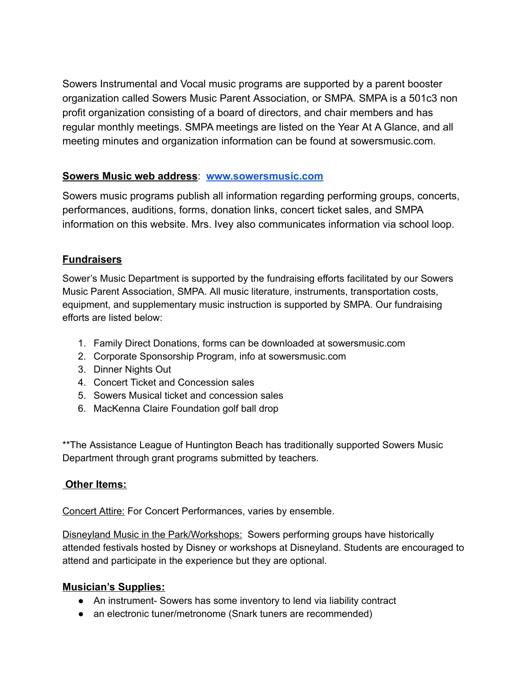Sowers Instrumental and Vocal music programs are supported by a parent booster organization called Sowers Music Parent Association, or SMPA. SMPA is a 501c3 non profit organization consisting of a board of directors, and chair members and has regular monthly meetings. SMPA meetings are listed on the Year At A Glance, and all meeting minutes and organization information can be found at sowersmusic.com.

#### **Sowers Music web address**: **www.sowersmusic.com**

Sowers music programs publish all information regarding performing groups, concerts, performances, auditions, forms, donation links, concert ticket sales, and SMPA information on this website. Mrs. Ivey also communicates information via school loop.

### **Fundraisers**

Sower's Music Department is supported by the fundraising efforts facilitated by our Sowers Music Parent Association, SMPA. All music literature, instruments, transportation costs, equipment, and supplementary music instruction is supported by SMPA. Our fundraising efforts are listed below:

- 1. Family Direct Donations, forms can be downloaded at sowersmusic.com
- 2. Corporate Sponsorship Program, info at sowersmusic.com
- 3. Dinner Nights Out
- 4. Concert Ticket and Concession sales
- 5. Sowers Musical ticket and concession sales
- 6. MacKenna Claire Foundation golf ball drop

\*\*The Assistance League of Huntington Beach has traditionally supported Sowers Music Department through grant programs submitted by teachers.

## **Other Items:**

Concert Attire: For Concert Performances, varies by ensemble.

Disneyland Music in the Park/Workshops: Sowers performing groups have historically attended festivals hosted by Disney or workshops at Disneyland. Students are encouraged to attend and participate in the experience but they are optional.

## **Musician's Supplies:**

- An instrument- Sowers has some inventory to lend via liability contract
- an electronic tuner/metronome (Snark tuners are recommended)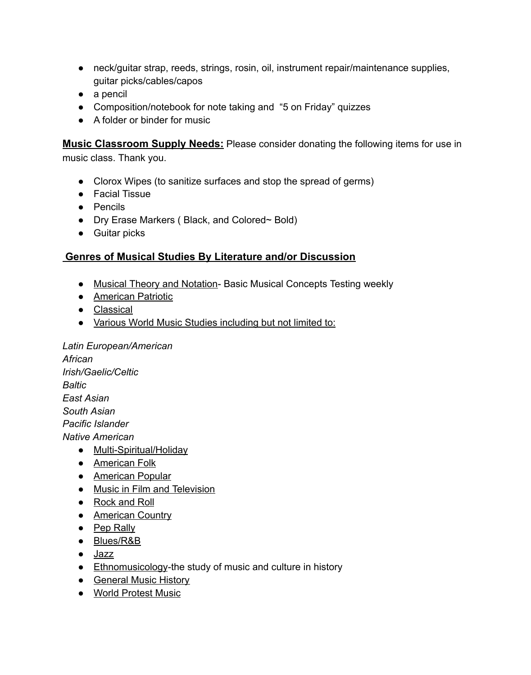- neck/guitar strap, reeds, strings, rosin, oil, instrument repair/maintenance supplies, guitar picks/cables/capos
- a pencil
- Composition/notebook for note taking and "5 on Friday" quizzes
- A folder or binder for music

**Music Classroom Supply Needs:** Please consider donating the following items for use in music class. Thank you.

- Clorox Wipes (to sanitize surfaces and stop the spread of germs)
- Facial Tissue
- Pencils
- Dry Erase Markers ( Black, and Colored~ Bold)
- Guitar picks

#### **Genres of Musical Studies By Literature and/or Discussion**

- Musical Theory and Notation- Basic Musical Concepts Testing weekly
- **•** American Patriotic
- Classical
- Various World Music Studies including but not limited to:

*Latin European/American African*

*Irish/Gaelic/Celtic Baltic East Asian South Asian Pacific Islander Native American*

- Multi-Spiritual/Holiday
- American Folk
- American Popular
- Music in Film and Television
- Rock and Roll
- American Country
- Pep Rally
- Blues/R&B
- Jazz
- Ethnomusicology-the study of music and culture in history
- General Music History
- World Protest Music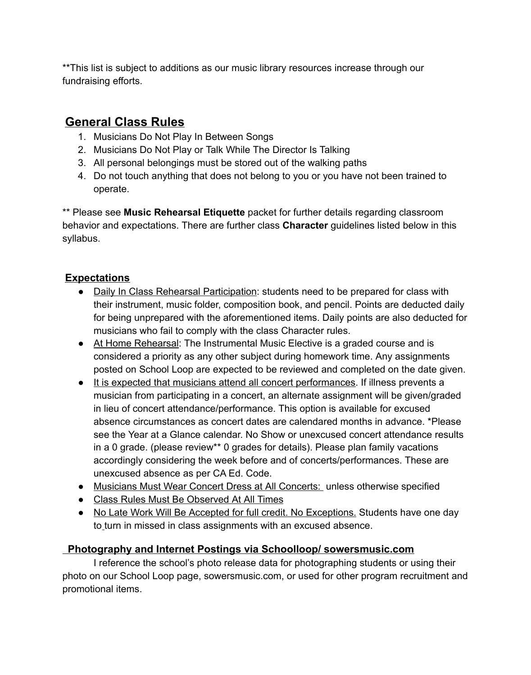\*\*This list is subject to additions as our music library resources increase through our fundraising efforts.

# **General Class Rules**

- 1. Musicians Do Not Play In Between Songs
- 2. Musicians Do Not Play or Talk While The Director Is Talking
- 3. All personal belongings must be stored out of the walking paths
- 4. Do not touch anything that does not belong to you or you have not been trained to operate.

\*\* Please see **Music Rehearsal Etiquette** packet for further details regarding classroom behavior and expectations. There are further class **Character** guidelines listed below in this syllabus.

## **Expectations**

- Daily In Class Rehearsal Participation: students need to be prepared for class with their instrument, music folder, composition book, and pencil. Points are deducted daily for being unprepared with the aforementioned items. Daily points are also deducted for musicians who fail to comply with the class Character rules.
- At Home Rehearsal: The Instrumental Music Elective is a graded course and is considered a priority as any other subject during homework time. Any assignments posted on School Loop are expected to be reviewed and completed on the date given.
- It is expected that musicians attend all concert performances. If illness prevents a musician from participating in a concert, an alternate assignment will be given/graded in lieu of concert attendance/performance. This option is available for excused absence circumstances as concert dates are calendared months in advance. \*Please see the Year at a Glance calendar. No Show or unexcused concert attendance results in a 0 grade. (please review\*\* 0 grades for details). Please plan family vacations accordingly considering the week before and of concerts/performances. These are unexcused absence as per CA Ed. Code.
- Musicians Must Wear Concert Dress at All Concerts: unless otherwise specified
- Class Rules Must Be Observed At All Times
- No Late Work Will Be Accepted for full credit. No Exceptions. Students have one day to turn in missed in class assignments with an excused absence.

## **Photography and Internet Postings via Schoolloop/ sowersmusic.com**

I reference the school's photo release data for photographing students or using their photo on our School Loop page, sowersmusic.com, or used for other program recruitment and promotional items.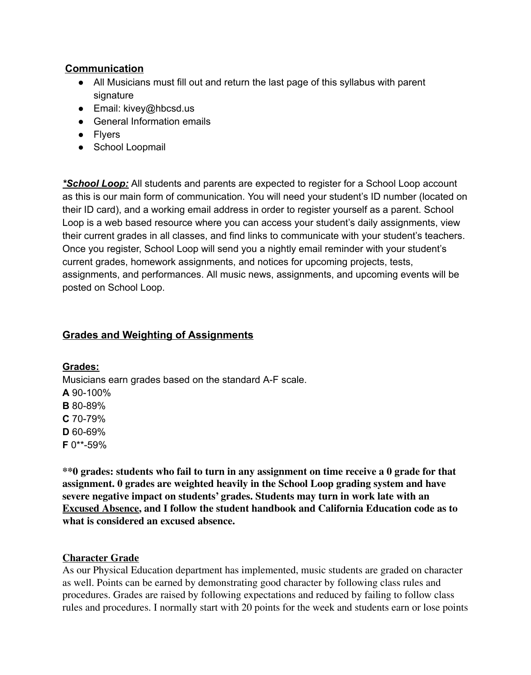### **Communication**

- All Musicians must fill out and return the last page of this syllabus with parent signature
- $\bullet$  Email: kivey@hbcsd.us
- General Information emails
- Flyers
- School Loopmail

*\*School Loop:* All students and parents are expected to register for a School Loop account as this is our main form of communication. You will need your student's ID number (located on their ID card), and a working email address in order to register yourself as a parent. School Loop is a web based resource where you can access your student's daily assignments, view their current grades in all classes, and find links to communicate with your student's teachers. Once you register, School Loop will send you a nightly email reminder with your student's current grades, homework assignments, and notices for upcoming projects, tests, assignments, and performances. All music news, assignments, and upcoming events will be posted on School Loop.

#### **Grades and Weighting of Assignments**

#### **Grades:**

Musicians earn grades based on the standard A-F scale. **A** 90-100% **B** 80-89% **C** 70-79%

**D** 60-69%

**F** 0\*\*-59%

**\*\*0 grades: students who fail to turn in any assignment on time receive a 0 grade for that assignment. 0 grades are weighted heavily in the School Loop grading system and have severe negative impact on students' grades. Students may turn in work late with an Excused Absence, and I follow the student handbook and California Education code as to what is considered an excused absence.**

#### **Character Grade**

As our Physical Education department has implemented, music students are graded on character as well. Points can be earned by demonstrating good character by following class rules and procedures. Grades are raised by following expectations and reduced by failing to follow class rules and procedures. I normally start with 20 points for the week and students earn or lose points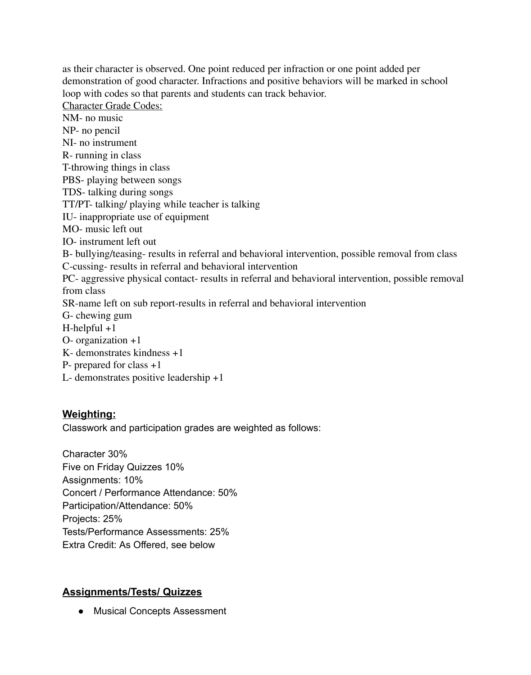as their character is observed. One point reduced per infraction or one point added per demonstration of good character. Infractions and positive behaviors will be marked in school loop with codes so that parents and students can track behavior.

Character Grade Codes:

NM- no music NP- no pencil NI- no instrument R- running in class T-throwing things in class PBS- playing between songs TDS- talking during songs TT/PT- talking/ playing while teacher is talking IU- inappropriate use of equipment MO- music left out IO- instrument left out B- bullying/teasing- results in referral and behavioral intervention, possible removal from class C-cussing- results in referral and behavioral intervention PC- aggressive physical contact- results in referral and behavioral intervention, possible removal from class SR-name left on sub report-results in referral and behavioral intervention G- chewing gum H-helpful +1 O- organization +1 K- demonstrates kindness +1 P- prepared for class +1 L- demonstrates positive leadership +1

#### **Weighting:**

Classwork and participation grades are weighted as follows:

Character 30% Five on Friday Quizzes 10% Assignments: 10% Concert / Performance Attendance: 50% Participation/Attendance: 50% Projects: 25% Tests/Performance Assessments: 25% Extra Credit: As Offered, see below

#### **Assignments/Tests/ Quizzes**

● Musical Concepts Assessment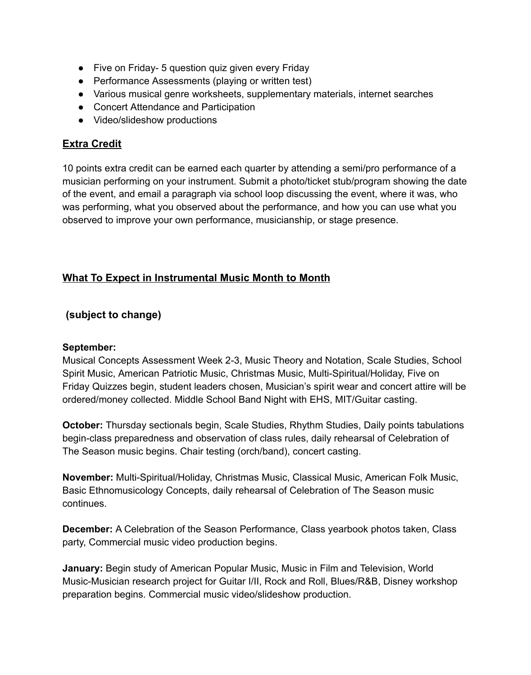- Five on Friday 5 question quiz given every Friday
- Performance Assessments (playing or written test)
- Various musical genre worksheets, supplementary materials, internet searches
- Concert Attendance and Participation
- Video/slideshow productions

### **Extra Credit**

10 points extra credit can be earned each quarter by attending a semi/pro performance of a musician performing on your instrument. Submit a photo/ticket stub/program showing the date of the event, and email a paragraph via school loop discussing the event, where it was, who was performing, what you observed about the performance, and how you can use what you observed to improve your own performance, musicianship, or stage presence.

## **What To Expect in Instrumental Music Month to Month**

#### **(subject to change)**

#### **September:**

Musical Concepts Assessment Week 2-3, Music Theory and Notation, Scale Studies, School Spirit Music, American Patriotic Music, Christmas Music, Multi-Spiritual/Holiday, Five on Friday Quizzes begin, student leaders chosen, Musician's spirit wear and concert attire will be ordered/money collected. Middle School Band Night with EHS, MIT/Guitar casting.

**October:** Thursday sectionals begin, Scale Studies, Rhythm Studies, Daily points tabulations begin-class preparedness and observation of class rules, daily rehearsal of Celebration of The Season music begins. Chair testing (orch/band), concert casting.

**November:** Multi-Spiritual/Holiday, Christmas Music, Classical Music, American Folk Music, Basic Ethnomusicology Concepts, daily rehearsal of Celebration of The Season music continues.

**December:** A Celebration of the Season Performance, Class yearbook photos taken, Class party, Commercial music video production begins.

**January:** Begin study of American Popular Music, Music in Film and Television, World Music-Musician research project for Guitar I/II, Rock and Roll, Blues/R&B, Disney workshop preparation begins. Commercial music video/slideshow production.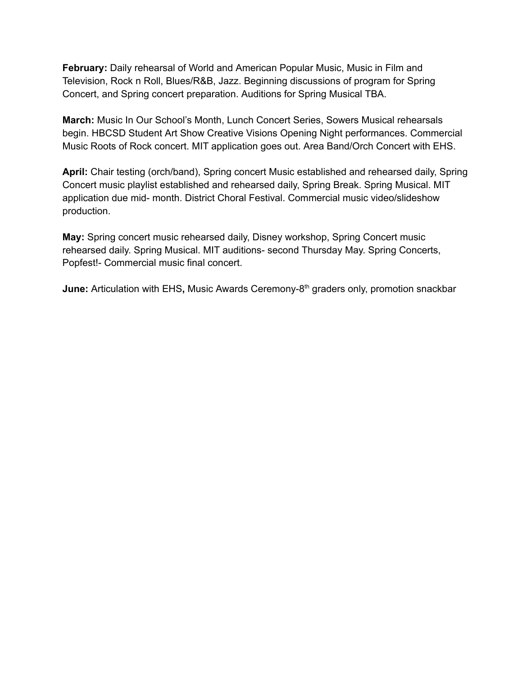**February:** Daily rehearsal of World and American Popular Music, Music in Film and Television, Rock n Roll, Blues/R&B, Jazz. Beginning discussions of program for Spring Concert, and Spring concert preparation. Auditions for Spring Musical TBA.

**March:** Music In Our School's Month, Lunch Concert Series, Sowers Musical rehearsals begin. HBCSD Student Art Show Creative Visions Opening Night performances. Commercial Music Roots of Rock concert. MIT application goes out. Area Band/Orch Concert with EHS.

**April:** Chair testing (orch/band), Spring concert Music established and rehearsed daily, Spring Concert music playlist established and rehearsed daily, Spring Break. Spring Musical. MIT application due mid- month. District Choral Festival. Commercial music video/slideshow production.

**May:** Spring concert music rehearsed daily, Disney workshop, Spring Concert music rehearsed daily. Spring Musical. MIT auditions- second Thursday May. Spring Concerts, Popfest!- Commercial music final concert.

**June:** Articulation with EHS, Music Awards Ceremony-8<sup>th</sup> graders only, promotion snackbar